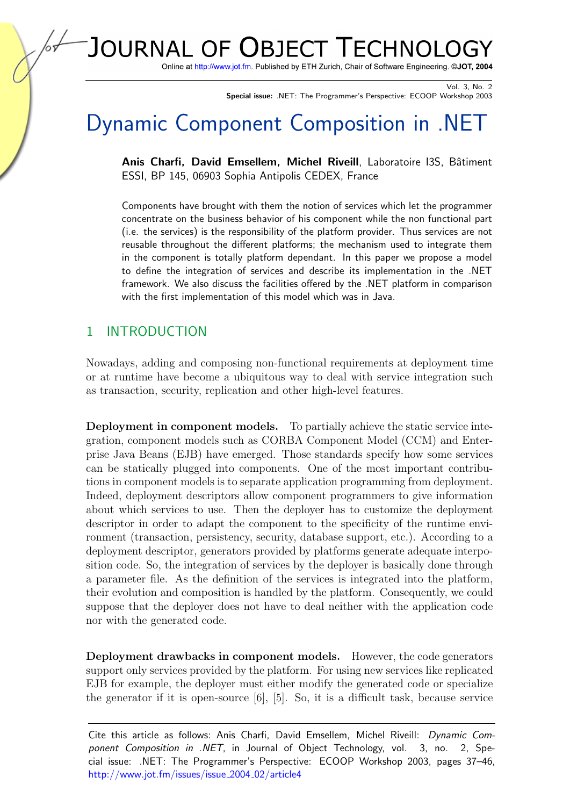JOURNAL OF OBJECT TECHNOLO

Online at http://www.jot.fm. Published by ETH Zurich, Chair of Software Engineering. @JOT, 2004

Vol. 3, No. 2 Special issue: .NET: The Programmer's Perspective: ECOOP Workshop 2003

# Dynamic Component Composition in .NET

Anis Charfi, David Emsellem, Michel Riveill, Laboratoire I3S, Bâtiment ESSI, BP 145, 06903 Sophia Antipolis CEDEX, France

Components have brought with them the notion of services which let the programmer concentrate on the business behavior of his component while the non functional part (i.e. the services) is the responsibility of the platform provider. Thus services are not reusable throughout the different platforms; the mechanism used to integrate them in the component is totally platform dependant. In this paper we propose a model to define the integration of services and describe its implementation in the .NET framework. We also discuss the facilities offered by the .NET platform in comparison with the first implementation of this model which was in Java.

## 1 INTRODUCTION

Nowadays, adding and composing non-functional requirements at deployment time or at runtime have become a ubiquitous way to deal with service integration such as transaction, security, replication and other high-level features.

Deployment in component models. To partially achieve the static service integration, component models such as CORBA Component Model (CCM) and Enterprise Java Beans (EJB) have emerged. Those standards specify how some services can be statically plugged into components. One of the most important contributions in component models is to separate application programming from deployment. Indeed, deployment descriptors allow component programmers to give information about which services to use. Then the deployer has to customize the deployment descriptor in order to adapt the component to the specificity of the runtime environment (transaction, persistency, security, database support, etc.). According to a deployment descriptor, generators provided by platforms generate adequate interposition code. So, the integration of services by the deployer is basically done through a parameter file. As the definition of the services is integrated into the platform, their evolution and composition is handled by the platform. Consequently, we could suppose that the deployer does not have to deal neither with the application code nor with the generated code.

Deployment drawbacks in component models. However, the code generators support only services provided by the platform. For using new services like replicated EJB for example, the deployer must either modify the generated code or specialize the generator if it is open-source [\[6\]](#page-8-0), [\[5\]](#page-8-1). So, it is a difficult task, because service

Cite this article as follows: Anis Charfi, David Emsellem, Michel Riveill: Dynamic Component Composition in .NET, in Journal of Object Technology, vol. 3, no. 2, Special issue: .NET: The Programmer's Perspective: ECOOP Workshop 2003, pages 37–46, [http://www.jot.fm/issues/issue](http://www.jot.fm/issues/issue_2004_02/article4)\_2004\_02/article4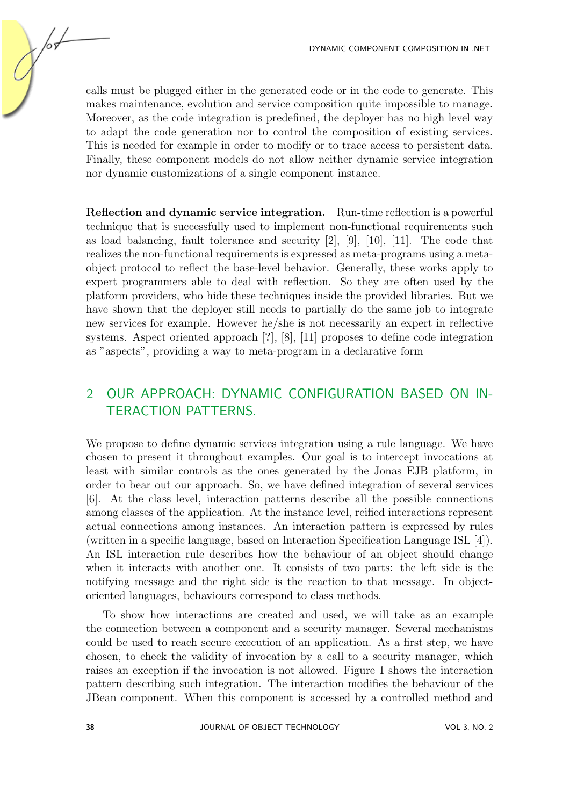calls must be plugged either in the generated code or in the code to generate. This makes maintenance, evolution and service composition quite impossible to manage. Moreover, as the code integration is predefined, the deployer has no high level way to adapt the code generation nor to control the composition of existing services. This is needed for example in order to modify or to trace access to persistent data. Finally, these component models do not allow neither dynamic service integration nor dynamic customizations of a single component instance.

Reflection and dynamic service integration. Run-time reflection is a powerful technique that is successfully used to implement non-functional requirements such as load balancing, fault tolerance and security [\[2\]](#page-8-2), [\[9\]](#page-9-0), [\[10\]](#page-9-1), [\[11\]](#page-9-2). The code that realizes the non-functional requirements is expressed as meta-programs using a metaobject protocol to reflect the base-level behavior. Generally, these works apply to expert programmers able to deal with reflection. So they are often used by the platform providers, who hide these techniques inside the provided libraries. But we have shown that the deployer still needs to partially do the same job to integrate new services for example. However he/she is not necessarily an expert in reflective systems. Aspect oriented approach [?], [\[8\]](#page-9-3), [\[11\]](#page-9-2) proposes to define code integration as "aspects", providing a way to meta-program in a declarative form

# 2 OUR APPROACH: DYNAMIC CONFIGURATION BASED ON IN-TERACTION PATTERNS.

We propose to define dynamic services integration using a rule language. We have chosen to present it throughout examples. Our goal is to intercept invocations at least with similar controls as the ones generated by the Jonas EJB platform, in order to bear out our approach. So, we have defined integration of several services [\[6\]](#page-8-0). At the class level, interaction patterns describe all the possible connections among classes of the application. At the instance level, reified interactions represent actual connections among instances. An interaction pattern is expressed by rules (written in a specific language, based on Interaction Specification Language ISL [\[4\]](#page-8-3)). An ISL interaction rule describes how the behaviour of an object should change when it interacts with another one. It consists of two parts: the left side is the notifying message and the right side is the reaction to that message. In objectoriented languages, behaviours correspond to class methods.

To show how interactions are created and used, we will take as an example the connection between a component and a security manager. Several mechanisms could be used to reach secure execution of an application. As a first step, we have chosen, to check the validity of invocation by a call to a security manager, which raises an exception if the invocation is not allowed. Figure [1](#page-2-0) shows the interaction pattern describing such integration. The interaction modifies the behaviour of the JBean component. When this component is accessed by a controlled method and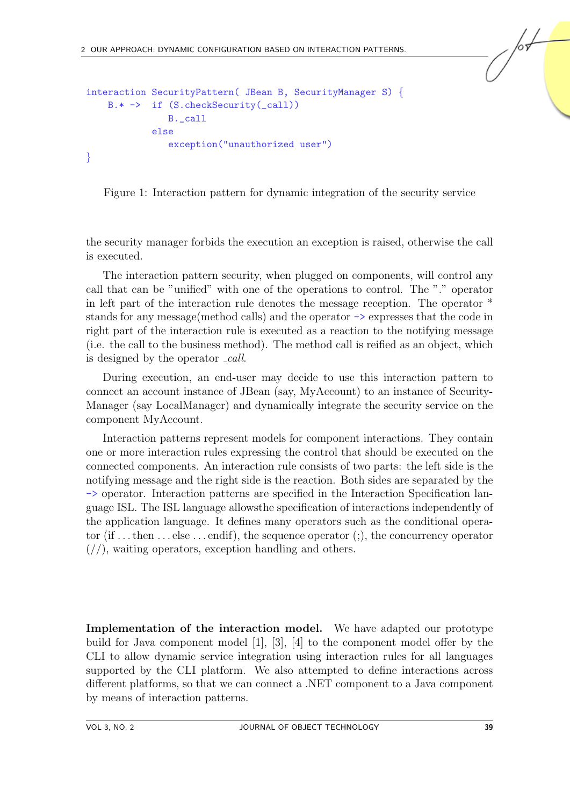```
interaction SecurityPattern( JBean B, SecurityManager S) {
    B.* -> if (S.checkSecurity(_call))
               B._call
            else
               exception("unauthorized user")
}
```
<span id="page-2-0"></span>Figure 1: Interaction pattern for dynamic integration of the security service

the security manager forbids the execution an exception is raised, otherwise the call is executed.

The interaction pattern security, when plugged on components, will control any call that can be "unified" with one of the operations to control. The "." operator in left part of the interaction rule denotes the message reception. The operator \* stands for any message(method calls) and the operator -> expresses that the code in right part of the interaction rule is executed as a reaction to the notifying message (i.e. the call to the business method). The method call is reified as an object, which is designed by the operator *call*.

During execution, an end-user may decide to use this interaction pattern to connect an account instance of JBean (say, MyAccount) to an instance of Security-Manager (say LocalManager) and dynamically integrate the security service on the component MyAccount.

Interaction patterns represent models for component interactions. They contain one or more interaction rules expressing the control that should be executed on the connected components. An interaction rule consists of two parts: the left side is the notifying message and the right side is the reaction. Both sides are separated by the -> operator. Interaction patterns are specified in the Interaction Specification language ISL. The ISL language allowsthe specification of interactions independently of the application language. It defines many operators such as the conditional operator (if  $\dots$  then  $\dots$  else  $\dots$  endif), the sequence operator (;), the concurrency operator  $\left(\frac{\pi}{\pi}\right)$ , waiting operators, exception handling and others.

Implementation of the interaction model. We have adapted our prototype build for Java component model [\[1\]](#page-8-4), [\[3\]](#page-8-5), [\[4\]](#page-8-3) to the component model offer by the CLI to allow dynamic service integration using interaction rules for all languages supported by the CLI platform. We also attempted to define interactions across different platforms, so that we can connect a .NET component to a Java component by means of interaction patterns.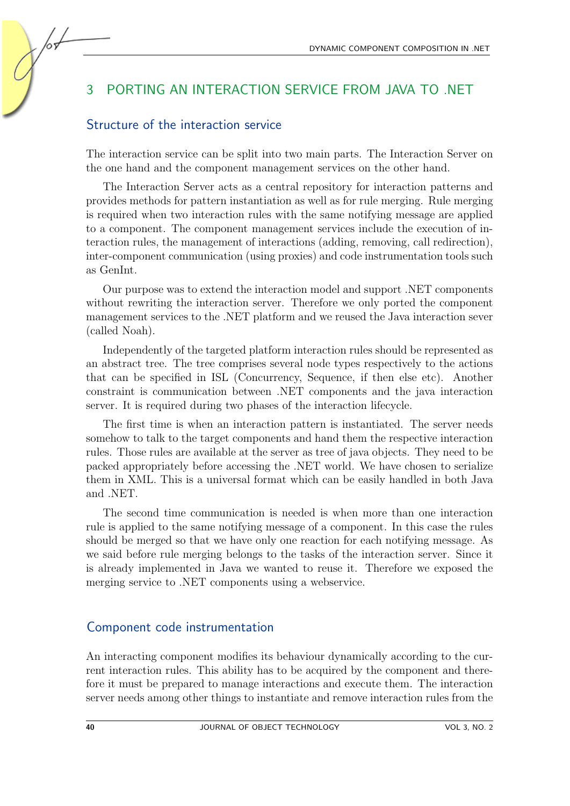## 3 PORTING AN INTERACTION SERVICE FROM JAVA TO .NET

#### Structure of the interaction service

The interaction service can be split into two main parts. The Interaction Server on the one hand and the component management services on the other hand.

The Interaction Server acts as a central repository for interaction patterns and provides methods for pattern instantiation as well as for rule merging. Rule merging is required when two interaction rules with the same notifying message are applied to a component. The component management services include the execution of interaction rules, the management of interactions (adding, removing, call redirection), inter-component communication (using proxies) and code instrumentation tools such as GenInt.

Our purpose was to extend the interaction model and support .NET components without rewriting the interaction server. Therefore we only ported the component management services to the .NET platform and we reused the Java interaction sever (called Noah).

Independently of the targeted platform interaction rules should be represented as an abstract tree. The tree comprises several node types respectively to the actions that can be specified in ISL (Concurrency, Sequence, if then else etc). Another constraint is communication between .NET components and the java interaction server. It is required during two phases of the interaction lifecycle.

The first time is when an interaction pattern is instantiated. The server needs somehow to talk to the target components and hand them the respective interaction rules. Those rules are available at the server as tree of java objects. They need to be packed appropriately before accessing the .NET world. We have chosen to serialize them in XML. This is a universal format which can be easily handled in both Java and .NET.

The second time communication is needed is when more than one interaction rule is applied to the same notifying message of a component. In this case the rules should be merged so that we have only one reaction for each notifying message. As we said before rule merging belongs to the tasks of the interaction server. Since it is already implemented in Java we wanted to reuse it. Therefore we exposed the merging service to .NET components using a webservice.

#### Component code instrumentation

An interacting component modifies its behaviour dynamically according to the current interaction rules. This ability has to be acquired by the component and therefore it must be prepared to manage interactions and execute them. The interaction server needs among other things to instantiate and remove interaction rules from the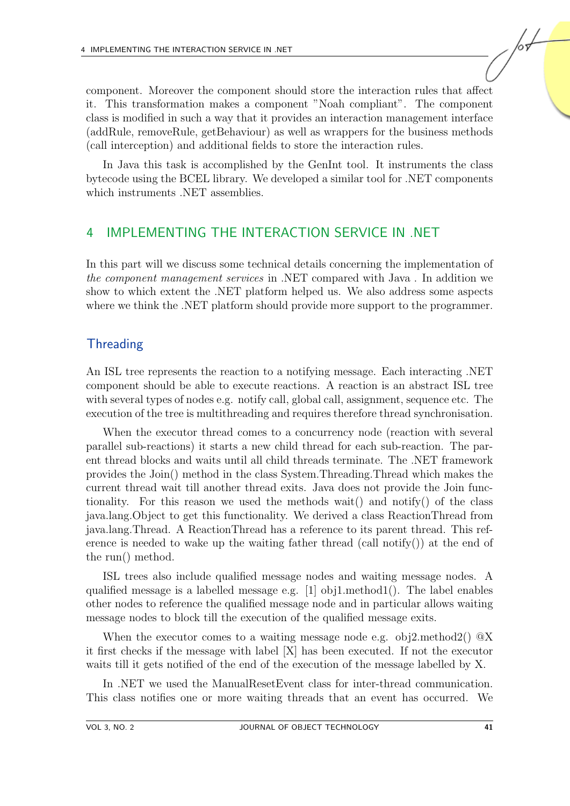component. Moreover the component should store the interaction rules that affect it. This transformation makes a component "Noah compliant". The component class is modified in such a way that it provides an interaction management interface (addRule, removeRule, getBehaviour) as well as wrappers for the business methods (call interception) and additional fields to store the interaction rules.

In Java this task is accomplished by the GenInt tool. It instruments the class bytecode using the BCEL library. We developed a similar tool for .NET components which instruments .NET assemblies.

#### 4 IMPLEMENTING THE INTERACTION SERVICE IN .NET

In this part will we discuss some technical details concerning the implementation of the component management services in .NET compared with Java . In addition we show to which extent the .NET platform helped us. We also address some aspects where we think the .NET platform should provide more support to the programmer.

## **Threading**

An ISL tree represents the reaction to a notifying message. Each interacting .NET component should be able to execute reactions. A reaction is an abstract ISL tree with several types of nodes e.g. notify call, global call, assignment, sequence etc. The execution of the tree is multithreading and requires therefore thread synchronisation.

When the executor thread comes to a concurrency node (reaction with several parallel sub-reactions) it starts a new child thread for each sub-reaction. The parent thread blocks and waits until all child threads terminate. The .NET framework provides the Join() method in the class System.Threading.Thread which makes the current thread wait till another thread exits. Java does not provide the Join functionality. For this reason we used the methods wait() and notify() of the class java.lang.Object to get this functionality. We derived a class ReactionThread from java.lang.Thread. A ReactionThread has a reference to its parent thread. This reference is needed to wake up the waiting father thread (call notify()) at the end of the run() method.

ISL trees also include qualified message nodes and waiting message nodes. A qualified message is a labelled message e.g. [1] obj1.method1(). The label enables other nodes to reference the qualified message node and in particular allows waiting message nodes to block till the execution of the qualified message exits.

When the executor comes to a waiting message node e.g. obj2.method2()  $@X$ it first checks if the message with label [X] has been executed. If not the executor waits till it gets notified of the end of the execution of the message labelled by X.

In .NET we used the ManualResetEvent class for inter-thread communication. This class notifies one or more waiting threads that an event has occurred. We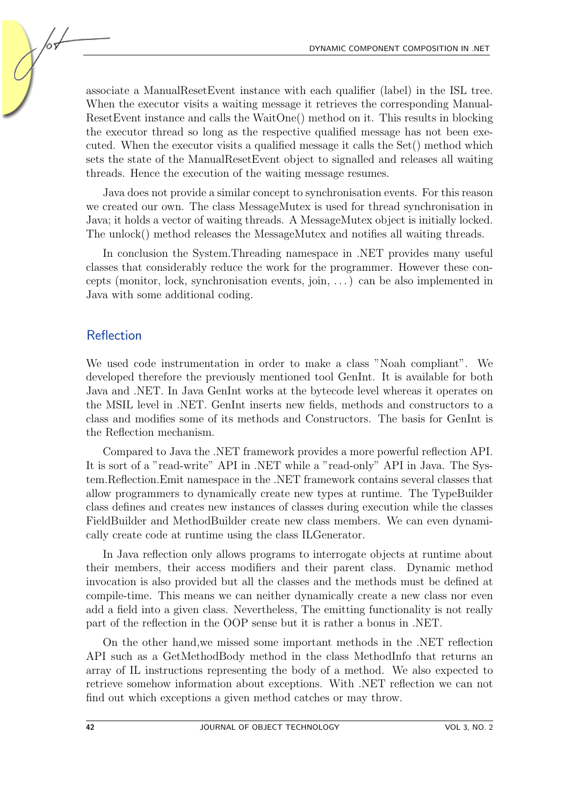associate a ManualResetEvent instance with each qualifier (label) in the ISL tree. When the executor visits a waiting message it retrieves the corresponding Manual-ResetEvent instance and calls the WaitOne() method on it. This results in blocking the executor thread so long as the respective qualified message has not been executed. When the executor visits a qualified message it calls the Set() method which sets the state of the ManualResetEvent object to signalled and releases all waiting threads. Hence the execution of the waiting message resumes.

Java does not provide a similar concept to synchronisation events. For this reason we created our own. The class MessageMutex is used for thread synchronisation in Java; it holds a vector of waiting threads. A MessageMutex object is initially locked. The unlock() method releases the MessageMutex and notifies all waiting threads.

In conclusion the System.Threading namespace in .NET provides many useful classes that considerably reduce the work for the programmer. However these concepts (monitor, lock, synchronisation events, join, . . . ) can be also implemented in Java with some additional coding.

#### **Reflection**

We used code instrumentation in order to make a class "Noah compliant". We developed therefore the previously mentioned tool GenInt. It is available for both Java and .NET. In Java GenInt works at the bytecode level whereas it operates on the MSIL level in .NET. GenInt inserts new fields, methods and constructors to a class and modifies some of its methods and Constructors. The basis for GenInt is the Reflection mechanism.

Compared to Java the .NET framework provides a more powerful reflection API. It is sort of a "read-write" API in .NET while a "read-only" API in Java. The System.Reflection.Emit namespace in the .NET framework contains several classes that allow programmers to dynamically create new types at runtime. The TypeBuilder class defines and creates new instances of classes during execution while the classes FieldBuilder and MethodBuilder create new class members. We can even dynamically create code at runtime using the class ILGenerator.

In Java reflection only allows programs to interrogate objects at runtime about their members, their access modifiers and their parent class. Dynamic method invocation is also provided but all the classes and the methods must be defined at compile-time. This means we can neither dynamically create a new class nor even add a field into a given class. Nevertheless, The emitting functionality is not really part of the reflection in the OOP sense but it is rather a bonus in .NET.

On the other hand,we missed some important methods in the .NET reflection API such as a GetMethodBody method in the class MethodInfo that returns an array of IL instructions representing the body of a method. We also expected to retrieve somehow information about exceptions. With .NET reflection we can not find out which exceptions a given method catches or may throw.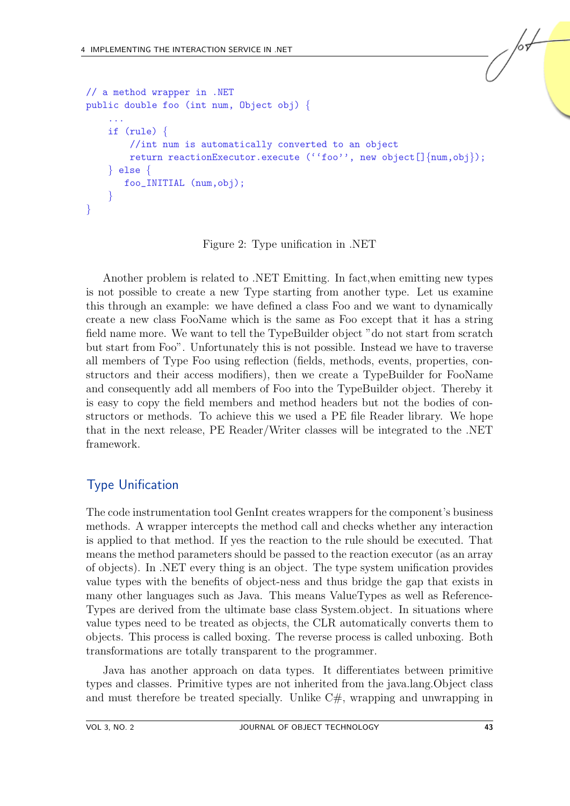```
// a method wrapper in .NET
public double foo (int num, Object obj) {
    ...
    if (rule) {
        //int num is automatically converted to an object
        return reactionExecutor.execute (''foo'', new object[]{num,obj});
    } else {
       foo_INITIAL (num,obj);
    }
}
```
Figure 2: Type unification in .NET

Another problem is related to .NET Emitting. In fact,when emitting new types is not possible to create a new Type starting from another type. Let us examine this through an example: we have defined a class Foo and we want to dynamically create a new class FooName which is the same as Foo except that it has a string field name more. We want to tell the TypeBuilder object "do not start from scratch but start from Foo". Unfortunately this is not possible. Instead we have to traverse all members of Type Foo using reflection (fields, methods, events, properties, constructors and their access modifiers), then we create a TypeBuilder for FooName and consequently add all members of Foo into the TypeBuilder object. Thereby it is easy to copy the field members and method headers but not the bodies of constructors or methods. To achieve this we used a PE file Reader library. We hope that in the next release, PE Reader/Writer classes will be integrated to the .NET framework.

# Type Unification

The code instrumentation tool GenInt creates wrappers for the component's business methods. A wrapper intercepts the method call and checks whether any interaction is applied to that method. If yes the reaction to the rule should be executed. That means the method parameters should be passed to the reaction executor (as an array of objects). In .NET every thing is an object. The type system unification provides value types with the benefits of object-ness and thus bridge the gap that exists in many other languages such as Java. This means ValueTypes as well as Reference-Types are derived from the ultimate base class System.object. In situations where value types need to be treated as objects, the CLR automatically converts them to objects. This process is called boxing. The reverse process is called unboxing. Both transformations are totally transparent to the programmer.

Java has another approach on data types. It differentiates between primitive types and classes. Primitive types are not inherited from the java.lang.Object class and must therefore be treated specially. Unlike  $C\#$ , wrapping and unwrapping in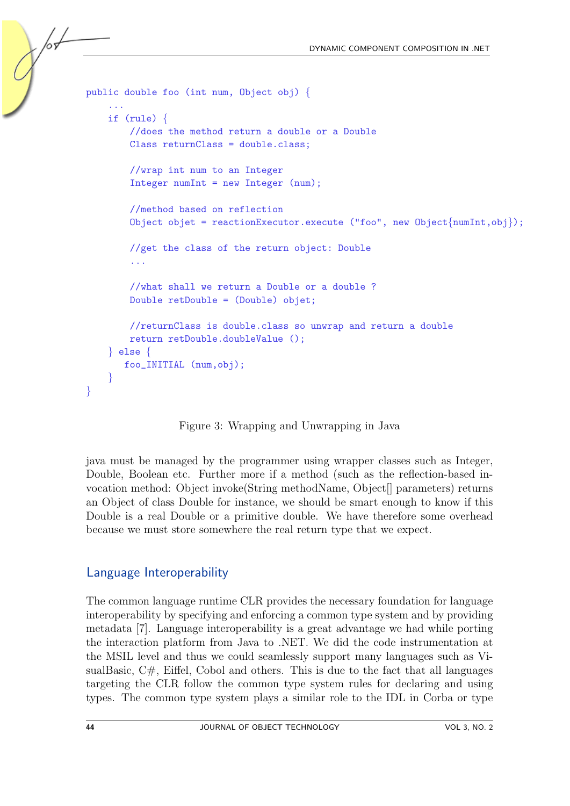```
public double foo (int num, Object obj) {
    ...
    if (rule) {
        //does the method return a double or a Double
        Class returnClass = double.class;
        //wrap int num to an Integer
        Integer numInt = new Integer (num);
        //method based on reflection
        Object objet = reactionExecutor.execute ("foo", new Object{numInt,obj});
        //get the class of the return object: Double
        ...
        //what shall we return a Double or a double ?
        Double retDouble = (Double) objet;
        //returnClass is double.class so unwrap and return a double
        return retDouble.doubleValue ();
    } else {
       foo_INITIAL (num,obj);
    }
}
```
Figure 3: Wrapping and Unwrapping in Java

java must be managed by the programmer using wrapper classes such as Integer, Double, Boolean etc. Further more if a method (such as the reflection-based invocation method: Object invoke(String methodName, Object[] parameters) returns an Object of class Double for instance, we should be smart enough to know if this Double is a real Double or a primitive double. We have therefore some overhead because we must store somewhere the real return type that we expect.

## Language Interoperability

The common language runtime CLR provides the necessary foundation for language interoperability by specifying and enforcing a common type system and by providing metadata [\[7\]](#page-9-4). Language interoperability is a great advantage we had while porting the interaction platform from Java to .NET. We did the code instrumentation at the MSIL level and thus we could seamlessly support many languages such as VisualBasic, C#, Eiffel, Cobol and others. This is due to the fact that all languages targeting the CLR follow the common type system rules for declaring and using types. The common type system plays a similar role to the IDL in Corba or type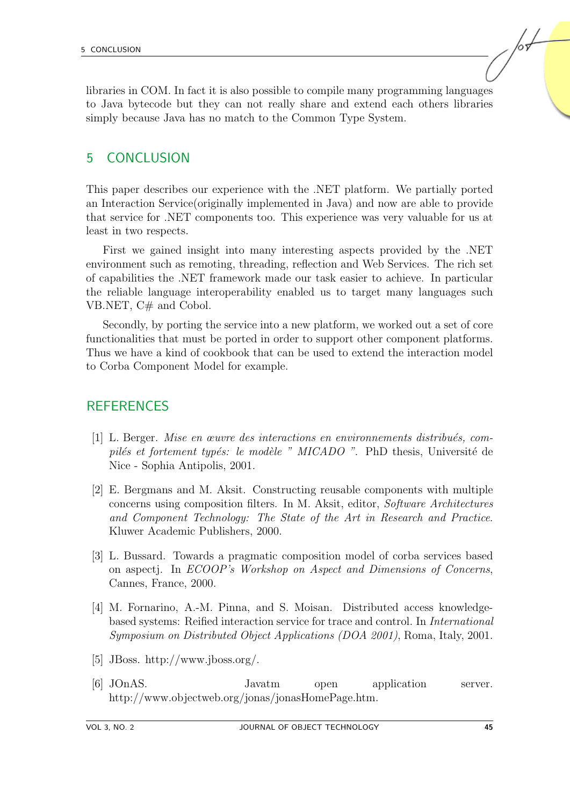libraries in COM. In fact it is also possible to compile many programming languages to Java bytecode but they can not really share and extend each others libraries simply because Java has no match to the Common Type System.

#### 5 CONCLUSION

This paper describes our experience with the .NET platform. We partially ported an Interaction Service(originally implemented in Java) and now are able to provide that service for .NET components too. This experience was very valuable for us at least in two respects.

First we gained insight into many interesting aspects provided by the .NET environment such as remoting, threading, reflection and Web Services. The rich set of capabilities the .NET framework made our task easier to achieve. In particular the reliable language interoperability enabled us to target many languages such VB.NET, C# and Cobol.

Secondly, by porting the service into a new platform, we worked out a set of core functionalities that must be ported in order to support other component platforms. Thus we have a kind of cookbook that can be used to extend the interaction model to Corba Component Model for example.

## **REFERENCES**

- <span id="page-8-4"></span>[1] L. Berger. Mise en œuvre des interactions en environnements distribu´es, compilés et fortement typés: le modèle " MICADO ". PhD thesis, Université de Nice - Sophia Antipolis, 2001.
- <span id="page-8-2"></span>[2] E. Bergmans and M. Aksit. Constructing reusable components with multiple concerns using composition filters. In M. Aksit, editor, Software Architectures and Component Technology: The State of the Art in Research and Practice. Kluwer Academic Publishers, 2000.
- <span id="page-8-5"></span>[3] L. Bussard. Towards a pragmatic composition model of corba services based on aspectj. In ECOOP's Workshop on Aspect and Dimensions of Concerns, Cannes, France, 2000.
- <span id="page-8-3"></span>[4] M. Fornarino, A.-M. Pinna, and S. Moisan. Distributed access knowledgebased systems: Reified interaction service for trace and control. In International Symposium on Distributed Object Applications (DOA 2001), Roma, Italy, 2001.
- <span id="page-8-1"></span>[5] JBoss. http://www.jboss.org/.
- <span id="page-8-0"></span>[6] JOnAS. Javatm open application server. http://www.objectweb.org/jonas/jonasHomePage.htm.

/sL